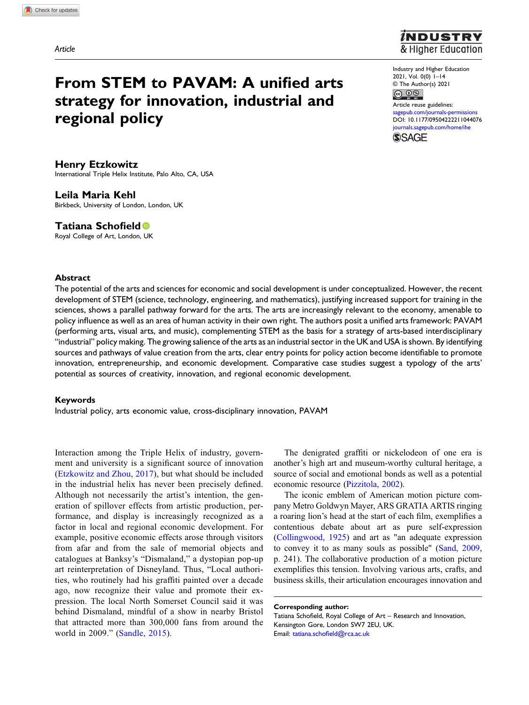# From STEM to PAVAM: A unified arts strategy for innovation, industrial and regional policy



Industry and Higher Education 2021, Vol. 0(0) 1–14 © The Author(s) 2021  $\circledcirc$   $\circledcirc$ 

Article reuse guidelines: pub.com/journals-permissions DOI: [10.1177/09504222211044076](https://doi.org/10.1177/09504222211044076) [journals.sagepub.com/home/ihe](https://journals.sagepub.com/home/ihe) **SSAGE** 

Henry Etzkowitz International Triple Helix Institute, Palo Alto, CA, USA

Leila Maria Kehl Birkbeck, University of London, London, UK

Tatiana Schofield

Royal College of Art, London, UK

## Abstract

The potential of the arts and sciences for economic and social development is under conceptualized. However, the recent development of STEM (science, technology, engineering, and mathematics), justifying increased support for training in the sciences, shows a parallel pathway forward for the arts. The arts are increasingly relevant to the economy, amenable to policy influence as well as an area of human activity in their own right. The authors posit a unified arts framework: PAVAM (performing arts, visual arts, and music), complementing STEM as the basis for a strategy of arts-based interdisciplinary "industrial" policy making. The growing salience of the arts as an industrial sector in the UK and USA is shown. By identifying sources and pathways of value creation from the arts, clear entry points for policy action become identifiable to promote innovation, entrepreneurship, and economic development. Comparative case studies suggest a typology of the arts' potential as sources of creativity, innovation, and regional economic development.

#### Keywords

Industrial policy, arts economic value, cross-disciplinary innovation, PAVAM

Interaction among the Triple Helix of industry, government and university is a significant source of innovation [\(Etzkowitz and Zhou, 2017](#page-11-0)), but what should be included in the industrial helix has never been precisely defined. Although not necessarily the artist's intention, the generation of spillover effects from artistic production, performance, and display is increasingly recognized as a factor in local and regional economic development. For example, positive economic effects arose through visitors from afar and from the sale of memorial objects and catalogues at Banksy's "Dismaland," a dystopian pop-up art reinterpretation of Disneyland. Thus, "Local authorities, who routinely had his graffiti painted over a decade ago, now recognize their value and promote their expression. The local North Somerset Council said it was behind Dismaland, mindful of a show in nearby Bristol that attracted more than 300,000 fans from around the world in 2009." ([Sandle, 2015\)](#page-13-0).

The denigrated graffiti or nickelodeon of one era is another's high art and museum-worthy cultural heritage, a source of social and emotional bonds as well as a potential economic resource [\(Pizzitola, 2002](#page-12-0)).

The iconic emblem of American motion picture company Metro Goldwyn Mayer, ARS GRATIA ARTIS ringing a roaring lion's head at the start of each film, exemplifies a contentious debate about art as pure self-expression ([Collingwood, 1925](#page-11-1)) and art as "an adequate expression to convey it to as many souls as possible" ([Sand, 2009](#page-13-1), p. 241). The collaborative production of a motion picture exemplifies this tension. Involving various arts, crafts, and business skills, their articulation encourages innovation and

Corresponding author:

Tatiana Schofield, Royal College of Art – Research and Innovation, Kensington Gore, London SW7 2EU, UK. Email: tatiana.schofi[eld@rca.ac.uk](mailto:tatiana.schofield@rca.ac.uk)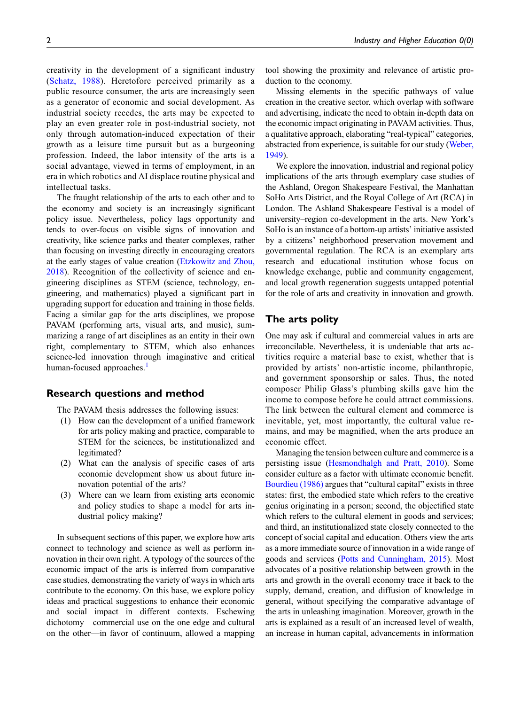creativity in the development of a significant industry ([Schatz, 1988](#page-13-2)). Heretofore perceived primarily as a public resource consumer, the arts are increasingly seen as a generator of economic and social development. As industrial society recedes, the arts may be expected to play an even greater role in post-industrial society, not only through automation-induced expectation of their growth as a leisure time pursuit but as a burgeoning profession. Indeed, the labor intensity of the arts is a social advantage, viewed in terms of employment, in an era in which robotics and AI displace routine physical and intellectual tasks.

The fraught relationship of the arts to each other and to the economy and society is an increasingly significant policy issue. Nevertheless, policy lags opportunity and tends to over-focus on visible signs of innovation and creativity, like science parks and theater complexes, rather than focusing on investing directly in encouraging creators at the early stages of value creation ([Etzkowitz and Zhou,](#page-11-2) [2018](#page-11-2)). Recognition of the collectivity of science and engineering disciplines as STEM (science, technology, engineering, and mathematics) played a significant part in upgrading support for education and training in those fields. Facing a similar gap for the arts disciplines, we propose PAVAM (performing arts, visual arts, and music), summarizing a range of art disciplines as an entity in their own right, complementary to STEM, which also enhances science-led innovation through imaginative and critical human-focused approaches.<sup>[1](#page-10-0)</sup>

#### Research questions and method

The PAVAM thesis addresses the following issues:

- (1) How can the development of a unified framework for arts policy making and practice, comparable to STEM for the sciences, be institutionalized and legitimated?
- (2) What can the analysis of specific cases of arts economic development show us about future innovation potential of the arts?
- (3) Where can we learn from existing arts economic and policy studies to shape a model for arts industrial policy making?

In subsequent sections of this paper, we explore how arts connect to technology and science as well as perform innovation in their own right. A typology of the sources of the economic impact of the arts is inferred from comparative case studies, demonstrating the variety of ways in which arts contribute to the economy. On this base, we explore policy ideas and practical suggestions to enhance their economic and social impact in different contexts. Eschewing dichotomy—commercial use on the one edge and cultural on the other—in favor of continuum, allowed a mapping

tool showing the proximity and relevance of artistic production to the economy.

Missing elements in the specific pathways of value creation in the creative sector, which overlap with software and advertising, indicate the need to obtain in-depth data on the economic impact originating in PAVAM activities. Thus, a qualitative approach, elaborating "real-typical" categories, abstracted from experience, is suitable for our study ([Weber,](#page-13-3) [1949\)](#page-13-3).

We explore the innovation, industrial and regional policy implications of the arts through exemplary case studies of the Ashland, Oregon Shakespeare Festival, the Manhattan SoHo Arts District, and the Royal College of Art (RCA) in London. The Ashland Shakespeare Festival is a model of university–region co-development in the arts. New York's SoHo is an instance of a bottom-up artists' initiative assisted by a citizens' neighborhood preservation movement and governmental regulation. The RCA is an exemplary arts research and educational institution whose focus on knowledge exchange, public and community engagement, and local growth regeneration suggests untapped potential for the role of arts and creativity in innovation and growth.

## The arts polity

One may ask if cultural and commercial values in arts are irreconcilable. Nevertheless, it is undeniable that arts activities require a material base to exist, whether that is provided by artists' non-artistic income, philanthropic, and government sponsorship or sales. Thus, the noted composer Philip Glass's plumbing skills gave him the income to compose before he could attract commissions. The link between the cultural element and commerce is inevitable, yet, most importantly, the cultural value remains, and may be magnified, when the arts produce an economic effect.

Managing the tension between culture and commerce is a persisting issue [\(Hesmondhalgh and Pratt, 2010](#page-12-1)). Some consider culture as a factor with ultimate economic benefit. [Bourdieu \(1986\)](#page-10-1) argues that "cultural capital" exists in three states: first, the embodied state which refers to the creative genius originating in a person; second, the objectified state which refers to the cultural element in goods and services; and third, an institutionalized state closely connected to the concept of social capital and education. Others view the arts as a more immediate source of innovation in a wide range of goods and services ([Potts and Cunningham, 2015](#page-13-4)). Most advocates of a positive relationship between growth in the arts and growth in the overall economy trace it back to the supply, demand, creation, and diffusion of knowledge in general, without specifying the comparative advantage of the arts in unleashing imagination. Moreover, growth in the arts is explained as a result of an increased level of wealth, an increase in human capital, advancements in information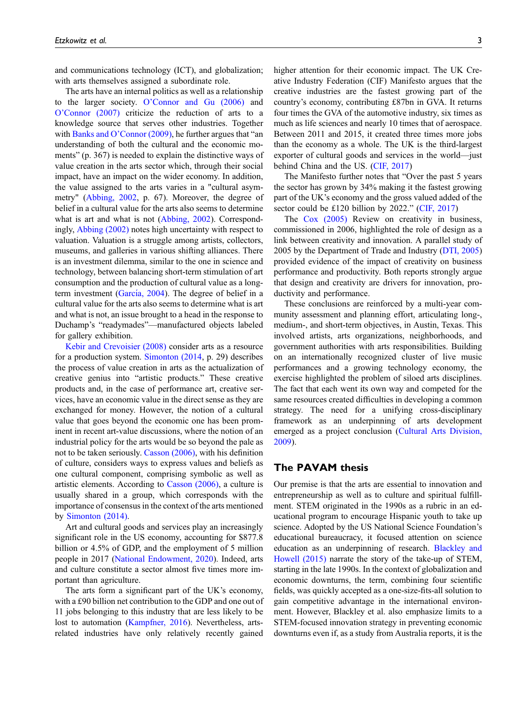and communications technology (ICT), and globalization; with arts themselves assigned a subordinate role.

The arts have an internal politics as well as a relationship to the larger society. O'[Connor and Gu \(2006\)](#page-12-2) and O'[Connor \(2007\)](#page-12-3) criticize the reduction of arts to a knowledge source that serves other industries. Together with Banks and O'[Connor \(2009\)](#page-10-2), he further argues that "an understanding of both the cultural and the economic moments" (p. 367) is needed to explain the distinctive ways of value creation in the arts sector which, through their social impact, have an impact on the wider economy. In addition, the value assigned to the arts varies in a "cultural asymmetry" ([Abbing, 2002,](#page-10-3) p. 67). Moreover, the degree of belief in a cultural value for the arts also seems to determine what is art and what is not [\(Abbing, 2002](#page-10-3)). Correspondingly, [Abbing \(2002\)](#page-10-3) notes high uncertainty with respect to valuation. Valuation is a struggle among artists, collectors, museums, and galleries in various shifting alliances. There is an investment dilemma, similar to the one in science and technology, between balancing short-term stimulation of art consumption and the production of cultural value as a long-term investment [\(Garc](#page-12-4)í[a, 2004](#page-12-4)). The degree of belief in a cultural value for the arts also seems to determine what is art and what is not, an issue brought to a head in the response to Duchamp's "readymades"—manufactured objects labeled for gallery exhibition.

[Kebir and Crevoisier \(2008\)](#page-12-5) consider arts as a resource for a production system. [Simonton \(2014](#page-13-5), p. 29) describes the process of value creation in arts as the actualization of creative genius into "artistic products." These creative products and, in the case of performance art, creative services, have an economic value in the direct sense as they are exchanged for money. However, the notion of a cultural value that goes beyond the economic one has been prominent in recent art-value discussions, where the notion of an industrial policy for the arts would be so beyond the pale as not to be taken seriously. [Casson \(2006\),](#page-11-3) with his definition of culture, considers ways to express values and beliefs as one cultural component, comprising symbolic as well as artistic elements. According to [Casson \(2006\)](#page-11-3), a culture is usually shared in a group, which corresponds with the importance of consensus in the context of the arts mentioned by [Simonton \(2014\)](#page-13-5).

Art and cultural goods and services play an increasingly significant role in the US economy, accounting for \$877.8 billion or 4.5% of GDP, and the employment of 5 million people in 2017 [\(National Endowment, 2020](#page-12-6)). Indeed, arts and culture constitute a sector almost five times more important than agriculture.

The arts form a significant part of the UK's economy, with a £90 billion net contribution to the GDP and one out of 11 jobs belonging to this industry that are less likely to be lost to automation ([Kampfner, 2016](#page-12-7)). Nevertheless, artsrelated industries have only relatively recently gained higher attention for their economic impact. The UK Creative Industry Federation (CIF) Manifesto argues that the creative industries are the fastest growing part of the country's economy, contributing £87bn in GVA. It returns four times the GVA of the automotive industry, six times as much as life sciences and nearly 10 times that of aerospace. Between 2011 and 2015, it created three times more jobs than the economy as a whole. The UK is the third-largest exporter of cultural goods and services in the world—just behind China and the US. [\(CIF, 2017\)](#page-11-4)

The Manifesto further notes that "Over the past 5 years the sector has grown by 34% making it the fastest growing part of the UK's economy and the gross valued added of the sector could be £120 billion by 2022." [\(CIF, 2017\)](#page-11-4)

The [Cox \(2005\)](#page-11-5) Review on creativity in business, commissioned in 2006, highlighted the role of design as a link between creativity and innovation. A parallel study of 2005 by the Department of Trade and Industry [\(DTI, 2005\)](#page-11-6) provided evidence of the impact of creativity on business performance and productivity. Both reports strongly argue that design and creativity are drivers for innovation, productivity and performance.

These conclusions are reinforced by a multi-year community assessment and planning effort, articulating long-, medium-, and short-term objectives, in Austin, Texas. This involved artists, arts organizations, neighborhoods, and government authorities with arts responsibilities. Building on an internationally recognized cluster of live music performances and a growing technology economy, the exercise highlighted the problem of siloed arts disciplines. The fact that each went its own way and competed for the same resources created difficulties in developing a common strategy. The need for a unifying cross-disciplinary framework as an underpinning of arts development emerged as a project conclusion ([Cultural Arts Division,](#page-11-7) [2009](#page-11-7)).

## The PAVAM thesis

Our premise is that the arts are essential to innovation and entrepreneurship as well as to culture and spiritual fulfillment. STEM originated in the 1990s as a rubric in an educational program to encourage Hispanic youth to take up science. Adopted by the US National Science Foundation's educational bureaucracy, it focused attention on science education as an underpinning of research. [Blackley and](#page-10-4) [Howell \(2015\)](#page-10-4) narrate the story of the take-up of STEM, starting in the late 1990s. In the context of globalization and economic downturns, the term, combining four scientific fields, was quickly accepted as a one-size-fits-all solution to gain competitive advantage in the international environment. However, Blackley et al. also emphasize limits to a STEM-focused innovation strategy in preventing economic downturns even if, as a study from Australia reports, it is the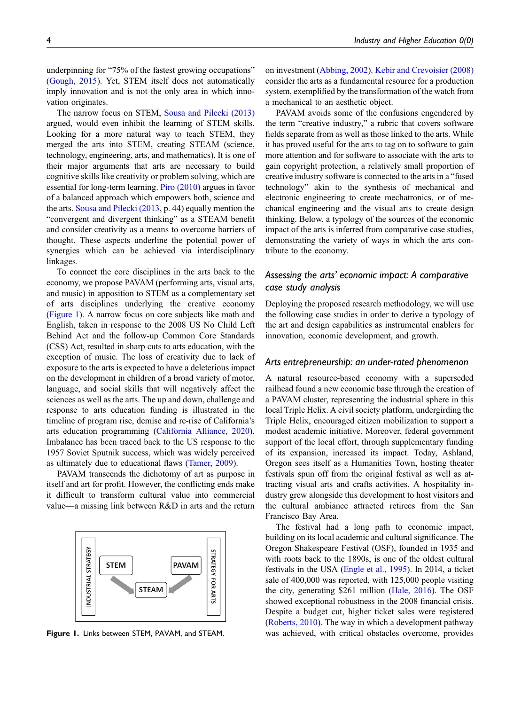underpinning for "75% of the fastest growing occupations" ([Gough, 2015](#page-12-8)). Yet, STEM itself does not automatically imply innovation and is not the only area in which innovation originates.

The narrow focus on STEM, [Sousa and Pilecki \(2013\)](#page-13-6) argued, would even inhibit the learning of STEM skills. Looking for a more natural way to teach STEM, they merged the arts into STEM, creating STEAM (science, technology, engineering, arts, and mathematics). It is one of their major arguments that arts are necessary to build cognitive skills like creativity or problem solving, which are essential for long-term learning. [Piro \(2010\)](#page-12-9) argues in favor of a balanced approach which empowers both, science and the arts. [Sousa and Pilecki \(2013,](#page-13-6) p. 44) equally mention the "convergent and divergent thinking" as a STEAM benefit and consider creativity as a means to overcome barriers of thought. These aspects underline the potential power of synergies which can be achieved via interdisciplinary linkages.

To connect the core disciplines in the arts back to the economy, we propose PAVAM (performing arts, visual arts, and music) in apposition to STEM as a complementary set of arts disciplines underlying the creative economy ([Figure 1](#page-3-0)). A narrow focus on core subjects like math and English, taken in response to the 2008 US No Child Left Behind Act and the follow-up Common Core Standards (CSS) Act, resulted in sharp cuts to arts education, with the exception of music. The loss of creativity due to lack of exposure to the arts is expected to have a deleterious impact on the development in children of a broad variety of motor, language, and social skills that will negatively affect the sciences as well as the arts. The up and down, challenge and response to arts education funding is illustrated in the timeline of program rise, demise and re-rise of California's arts education programming [\(California Alliance, 2020](#page-11-8)). Imbalance has been traced back to the US response to the 1957 Soviet Sputnik success, which was widely perceived as ultimately due to educational flaws [\(Tamer, 2009\)](#page-13-7).

PAVAM transcends the dichotomy of art as purpose in itself and art for profit. However, the conflicting ends make it difficult to transform cultural value into commercial value—a missing link between R&D in arts and the return



<span id="page-3-0"></span>

on investment ([Abbing, 2002](#page-10-3)). [Kebir and Crevoisier \(2008\)](#page-12-5) consider the arts as a fundamental resource for a production system, exemplified by the transformation of the watch from a mechanical to an aesthetic object.

PAVAM avoids some of the confusions engendered by the term "creative industry," a rubric that covers software fields separate from as well as those linked to the arts. While it has proved useful for the arts to tag on to software to gain more attention and for software to associate with the arts to gain copyright protection, a relatively small proportion of creative industry software is connected to the arts in a "fused technology" akin to the synthesis of mechanical and electronic engineering to create mechatronics, or of mechanical engineering and the visual arts to create design thinking. Below, a typology of the sources of the economic impact of the arts is inferred from comparative case studies, demonstrating the variety of ways in which the arts contribute to the economy.

# Assessing the arts' economic impact: A comparative case study analysis

Deploying the proposed research methodology, we will use the following case studies in order to derive a typology of the art and design capabilities as instrumental enablers for innovation, economic development, and growth.

#### Arts entrepreneurship: an under-rated phenomenon

A natural resource-based economy with a superseded railhead found a new economic base through the creation of a PAVAM cluster, representing the industrial sphere in this local Triple Helix. A civil society platform, undergirding the Triple Helix, encouraged citizen mobilization to support a modest academic initiative. Moreover, federal government support of the local effort, through supplementary funding of its expansion, increased its impact. Today, Ashland, Oregon sees itself as a Humanities Town, hosting theater festivals spun off from the original festival as well as attracting visual arts and crafts activities. A hospitality industry grew alongside this development to host visitors and the cultural ambiance attracted retirees from the San Francisco Bay Area.

The festival had a long path to economic impact, building on its local academic and cultural significance. The Oregon Shakespeare Festival (OSF), founded in 1935 and with roots back to the 1890s, is one of the oldest cultural festivals in the USA ([Engle et al., 1995](#page-11-9)). In 2014, a ticket sale of 400,000 was reported, with 125,000 people visiting the city, generating \$261 million [\(Hale, 2016](#page-12-10)). The OSF showed exceptional robustness in the 2008 financial crisis. Despite a budget cut, higher ticket sales were registered [\(Roberts, 2010\)](#page-13-8). The way in which a development pathway Figure 1. Links between STEM, PAVAM, and STEAM. was achieved, with critical obstacles overcome, provides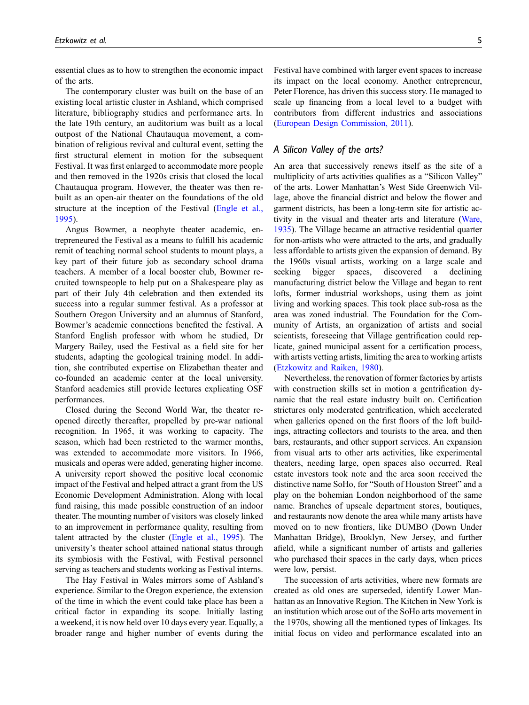essential clues as to how to strengthen the economic impact of the arts.

The contemporary cluster was built on the base of an existing local artistic cluster in Ashland, which comprised literature, bibliography studies and performance arts. In the late 19th century, an auditorium was built as a local outpost of the National Chautauqua movement, a combination of religious revival and cultural event, setting the first structural element in motion for the subsequent Festival. It was first enlarged to accommodate more people and then removed in the 1920s crisis that closed the local Chautauqua program. However, the theater was then rebuilt as an open-air theater on the foundations of the old structure at the inception of the Festival ([Engle et al.,](#page-11-9) [1995](#page-11-9)).

Angus Bowmer, a neophyte theater academic, entrepreneured the Festival as a means to fulfill his academic remit of teaching normal school students to mount plays, a key part of their future job as secondary school drama teachers. A member of a local booster club, Bowmer recruited townspeople to help put on a Shakespeare play as part of their July 4th celebration and then extended its success into a regular summer festival. As a professor at Southern Oregon University and an alumnus of Stanford, Bowmer's academic connections benefited the festival. A Stanford English professor with whom he studied, Dr Margery Bailey, used the Festival as a field site for her students, adapting the geological training model. In addition, she contributed expertise on Elizabethan theater and co-founded an academic center at the local university. Stanford academics still provide lectures explicating OSF performances.

Closed during the Second World War, the theater reopened directly thereafter, propelled by pre-war national recognition. In 1965, it was working to capacity. The season, which had been restricted to the warmer months, was extended to accommodate more visitors. In 1966, musicals and operas were added, generating higher income. A university report showed the positive local economic impact of the Festival and helped attract a grant from the US Economic Development Administration. Along with local fund raising, this made possible construction of an indoor theater. The mounting number of visitors was closely linked to an improvement in performance quality, resulting from talent attracted by the cluster [\(Engle et al., 1995](#page-11-9)). The university's theater school attained national status through its symbiosis with the Festival, with Festival personnel serving as teachers and students working as Festival interns.

The Hay Festival in Wales mirrors some of Ashland's experience. Similar to the Oregon experience, the extension of the time in which the event could take place has been a critical factor in expanding its scope. Initially lasting a weekend, it is now held over 10 days every year. Equally, a broader range and higher number of events during the Festival have combined with larger event spaces to increase its impact on the local economy. Another entrepreneur, Peter Florence, has driven this success story. He managed to scale up financing from a local level to a budget with contributors from different industries and associations ([European Design Commission, 2011\)](#page-11-10).

## A Silicon Valley of the arts?

An area that successively renews itself as the site of a multiplicity of arts activities qualifies as a "Silicon Valley" of the arts. Lower Manhattan's West Side Greenwich Village, above the financial district and below the flower and garment districts, has been a long-term site for artistic activity in the visual and theater arts and literature ([Ware,](#page-13-9) [1935](#page-13-9)). The Village became an attractive residential quarter for non-artists who were attracted to the arts, and gradually less affordable to artists given the expansion of demand. By the 1960s visual artists, working on a large scale and seeking bigger spaces, discovered a declining manufacturing district below the Village and began to rent lofts, former industrial workshops, using them as joint living and working spaces. This took place sub-rosa as the area was zoned industrial. The Foundation for the Community of Artists, an organization of artists and social scientists, foreseeing that Village gentrification could replicate, gained municipal assent for a certification process, with artists vetting artists, limiting the area to working artists ([Etzkowitz and Raiken, 1980](#page-11-11)).

Nevertheless, the renovation of former factories by artists with construction skills set in motion a gentrification dynamic that the real estate industry built on. Certification strictures only moderated gentrification, which accelerated when galleries opened on the first floors of the loft buildings, attracting collectors and tourists to the area, and then bars, restaurants, and other support services. An expansion from visual arts to other arts activities, like experimental theaters, needing large, open spaces also occurred. Real estate investors took note and the area soon received the distinctive name SoHo, for "South of Houston Street" and a play on the bohemian London neighborhood of the same name. Branches of upscale department stores, boutiques, and restaurants now denote the area while many artists have moved on to new frontiers, like DUMBO (Down Under Manhattan Bridge), Brooklyn, New Jersey, and further afield, while a significant number of artists and galleries who purchased their spaces in the early days, when prices were low, persist.

The succession of arts activities, where new formats are created as old ones are superseded, identify Lower Manhattan as an Innovative Region. The Kitchen in New York is an institution which arose out of the SoHo arts movement in the 1970s, showing all the mentioned types of linkages. Its initial focus on video and performance escalated into an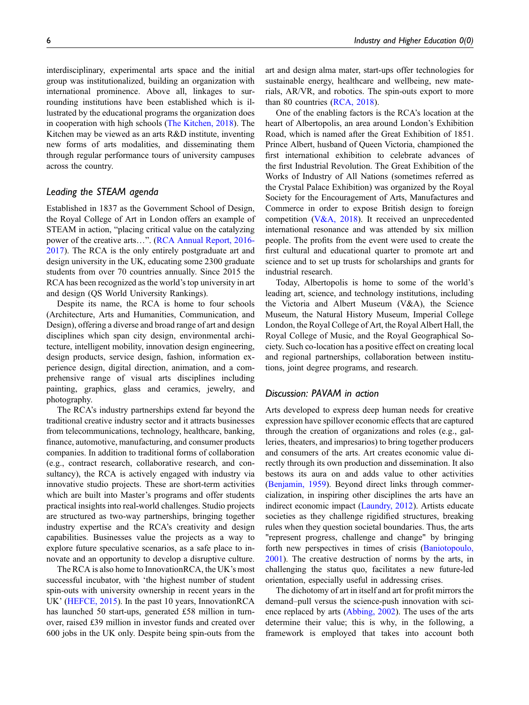interdisciplinary, experimental arts space and the initial group was institutionalized, building an organization with international prominence. Above all, linkages to surrounding institutions have been established which is illustrated by the educational programs the organization does in cooperation with high schools ([The Kitchen, 2018](#page-13-10)). The Kitchen may be viewed as an arts R&D institute, inventing new forms of arts modalities, and disseminating them through regular performance tours of university campuses across the country.

#### Leading the STEAM agenda

Established in 1837 as the Government School of Design, the Royal College of Art in London offers an example of STEAM in action, "placing critical value on the catalyzing power of the creative arts…". [\(RCA Annual Report, 2016-](#page-13-11) [2017](#page-13-11)). The RCA is the only entirely postgraduate art and design university in the UK, educating some 2300 graduate students from over 70 countries annually. Since 2015 the RCA has been recognized as the world's top university in art and design (QS World University Rankings).

Despite its name, the RCA is home to four schools (Architecture, Arts and Humanities, Communication, and Design), offering a diverse and broad range of art and design disciplines which span city design, environmental architecture, intelligent mobility, innovation design engineering, design products, service design, fashion, information experience design, digital direction, animation, and a comprehensive range of visual arts disciplines including painting, graphics, glass and ceramics, jewelry, and photography.

The RCA's industry partnerships extend far beyond the traditional creative industry sector and it attracts businesses from telecommunications, technology, healthcare, banking, finance, automotive, manufacturing, and consumer products companies. In addition to traditional forms of collaboration (e.g., contract research, collaborative research, and consultancy), the RCA is actively engaged with industry via innovative studio projects. These are short-term activities which are built into Master's programs and offer students practical insights into real-world challenges. Studio projects are structured as two-way partnerships, bringing together industry expertise and the RCA's creativity and design capabilities. Businesses value the projects as a way to explore future speculative scenarios, as a safe place to innovate and an opportunity to develop a disruptive culture.

The RCA is also home to InnovationRCA, the UK's most successful incubator, with 'the highest number of student spin-outs with university ownership in recent years in the UK' ([HEFCE, 2015](#page-12-11)). In the past 10 years, InnovationRCA has launched 50 start-ups, generated £58 million in turnover, raised £39 million in investor funds and created over 600 jobs in the UK only. Despite being spin-outs from the art and design alma mater, start-ups offer technologies for sustainable energy, healthcare and wellbeing, new materials, AR/VR, and robotics. The spin-outs export to more than 80 countries [\(RCA, 2018\)](#page-13-12).

One of the enabling factors is the RCA's location at the heart of Albertopolis, an area around London's Exhibition Road, which is named after the Great Exhibition of 1851. Prince Albert, husband of Queen Victoria, championed the first international exhibition to celebrate advances of the first Industrial Revolution. The Great Exhibition of the Works of Industry of All Nations (sometimes referred as the Crystal Palace Exhibition) was organized by the Royal Society for the Encouragement of Arts, Manufactures and Commerce in order to expose British design to foreign competition ([V&A, 2018](#page-13-13)). It received an unprecedented international resonance and was attended by six million people. The profits from the event were used to create the first cultural and educational quarter to promote art and science and to set up trusts for scholarships and grants for industrial research.

Today, Albertopolis is home to some of the world's leading art, science, and technology institutions, including the Victoria and Albert Museum (V&A), the Science Museum, the Natural History Museum, Imperial College London, the Royal College of Art, the Royal Albert Hall, the Royal College of Music, and the Royal Geographical Society. Such co-location has a positive effect on creating local and regional partnerships, collaboration between institutions, joint degree programs, and research.

#### Discussion: PAVAM in action

Arts developed to express deep human needs for creative expression have spillover economic effects that are captured through the creation of organizations and roles (e.g., galleries, theaters, and impresarios) to bring together producers and consumers of the arts. Art creates economic value directly through its own production and dissemination. It also bestows its aura on and adds value to other activities [\(Benjamin, 1959](#page-10-5)). Beyond direct links through commercialization, in inspiring other disciplines the arts have an indirect economic impact ([Laundry, 2012](#page-12-12)). Artists educate societies as they challenge rigidified structures, breaking rules when they question societal boundaries. Thus, the arts "represent progress, challenge and change" by bringing forth new perspectives in times of crisis ([Baniotopoulo,](#page-10-6) [2001\)](#page-10-6). The creative destruction of norms by the arts, in challenging the status quo, facilitates a new future-led orientation, especially useful in addressing crises.

The dichotomy of art in itself and art for profit mirrors the demand–pull versus the science-push innovation with science replaced by arts [\(Abbing, 2002](#page-10-3)). The uses of the arts determine their value; this is why, in the following, a framework is employed that takes into account both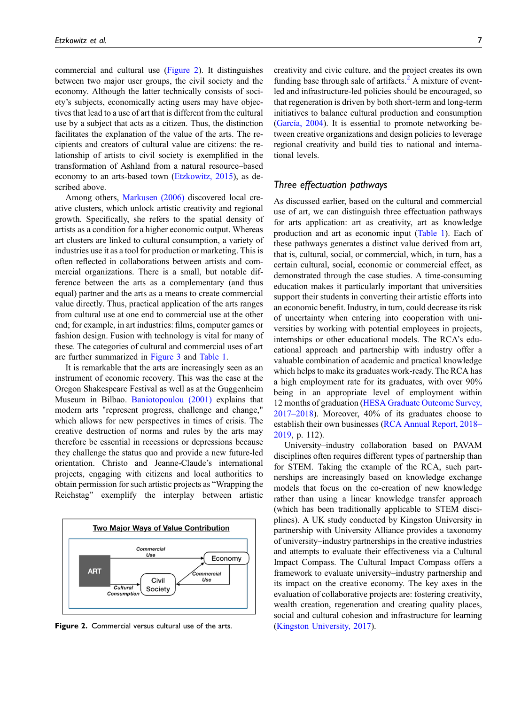commercial and cultural use [\(Figure 2\)](#page-6-0). It distinguishes between two major user groups, the civil society and the economy. Although the latter technically consists of society's subjects, economically acting users may have objectives that lead to a use of art that is different from the cultural use by a subject that acts as a citizen. Thus, the distinction facilitates the explanation of the value of the arts. The recipients and creators of cultural value are citizens: the relationship of artists to civil society is exemplified in the transformation of Ashland from a natural resource–based economy to an arts-based town [\(Etzkowitz, 2015\)](#page-11-12), as described above.

Among others, [Markusen \(2006\)](#page-12-13) discovered local creative clusters, which unlock artistic creativity and regional growth. Specifically, she refers to the spatial density of artists as a condition for a higher economic output. Whereas art clusters are linked to cultural consumption, a variety of industries use it as a tool for production or marketing. This is often reflected in collaborations between artists and commercial organizations. There is a small, but notable difference between the arts as a complementary (and thus equal) partner and the arts as a means to create commercial value directly. Thus, practical application of the arts ranges from cultural use at one end to commercial use at the other end; for example, in art industries: films, computer games or fashion design. Fusion with technology is vital for many of these. The categories of cultural and commercial uses of art are further summarized in [Figure 3](#page-7-0) and [Table 1.](#page-7-1)

It is remarkable that the arts are increasingly seen as an instrument of economic recovery. This was the case at the Oregon Shakespeare Festival as well as at the Guggenheim Museum in Bilbao. [Baniotopoulou \(2001\)](#page-10-6) explains that modern arts "represent progress, challenge and change," which allows for new perspectives in times of crisis. The creative destruction of norms and rules by the arts may therefore be essential in recessions or depressions because they challenge the status quo and provide a new future-led orientation. Christo and Jeanne-Claude's international projects, engaging with citizens and local authorities to obtain permission for such artistic projects as "Wrapping the Reichstag" exemplify the interplay between artistic



<span id="page-6-0"></span>Figure 2. Commercial versus cultural use of the arts. ([Kingston University, 2017](#page-12-15)).

creativity and civic culture, and the project creates its own funding base through sale of artifacts. $^{2}$  $^{2}$  $^{2}$  A mixture of eventled and infrastructure-led policies should be encouraged, so that regeneration is driven by both short-term and long-term initiatives to balance cultural production and consumption  $(Garcia, 2004)$  $(Garcia, 2004)$  $(Garcia, 2004)$ . It is essential to promote networking between creative organizations and design policies to leverage regional creativity and build ties to national and international levels.

## Three effectuation pathways

As discussed earlier, based on the cultural and commercial use of art, we can distinguish three effectuation pathways for arts application: art as creativity, art as knowledge production and art as economic input [\(Table 1](#page-7-1)). Each of these pathways generates a distinct value derived from art, that is, cultural, social, or commercial, which, in turn, has a certain cultural, social, economic or commercial effect, as demonstrated through the case studies. A time-consuming education makes it particularly important that universities support their students in converting their artistic efforts into an economic benefit. Industry, in turn, could decrease its risk of uncertainty when entering into cooperation with universities by working with potential employees in projects, internships or other educational models. The RCA's educational approach and partnership with industry offer a valuable combination of academic and practical knowledge which helps to make its graduates work-ready. The RCA has a high employment rate for its graduates, with over 90% being in an appropriate level of employment within 12 months of graduation ([HESA Graduate Outcome Survey,](#page-12-14) [2017](#page-12-14)–[2018](#page-12-14)). Moreover, 40% of its graduates choose to establish their own businesses [\(RCA Annual Report, 2018](#page-13-14)– [2019](#page-13-14), p. 112).

University–industry collaboration based on PAVAM disciplines often requires different types of partnership than for STEM. Taking the example of the RCA, such partnerships are increasingly based on knowledge exchange models that focus on the co-creation of new knowledge rather than using a linear knowledge transfer approach (which has been traditionally applicable to STEM disciplines). A UK study conducted by Kingston University in partnership with University Alliance provides a taxonomy of university–industry partnerships in the creative industries and attempts to evaluate their effectiveness via a Cultural Impact Compass. The Cultural Impact Compass offers a framework to evaluate university–industry partnership and its impact on the creative economy. The key axes in the evaluation of collaborative projects are: fostering creativity, wealth creation, regeneration and creating quality places, social and cultural cohesion and infrastructure for learning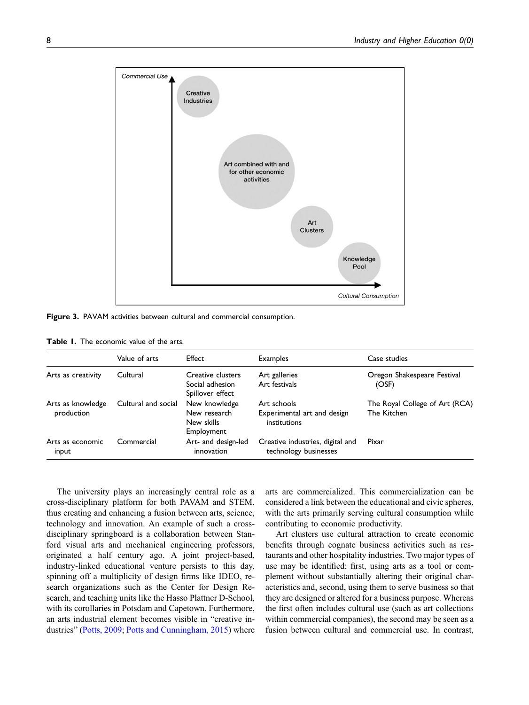

<span id="page-7-0"></span>Figure 3. PAVAM activities between cultural and commercial consumption.

<span id="page-7-1"></span>

|  | <b>Table 1.</b> The economic value of the arts. |  |  |
|--|-------------------------------------------------|--|--|
|  |                                                 |  |  |

|                                 | Value of arts       | Effect                                                    | <b>Examples</b>                                            | Case studies                                  |  |
|---------------------------------|---------------------|-----------------------------------------------------------|------------------------------------------------------------|-----------------------------------------------|--|
| Arts as creativity              | Cultural            | Creative clusters<br>Social adhesion<br>Spillover effect  | Art galleries<br>Art festivals                             | Oregon Shakespeare Festival<br>(OSF)          |  |
| Arts as knowledge<br>production | Cultural and social | New knowledge<br>New research<br>New skills<br>Employment | Art schools<br>Experimental art and design<br>institutions | The Royal College of Art (RCA)<br>The Kitchen |  |
| Arts as economic<br>input       | Commercial          | Art- and design-led<br>innovation                         | Creative industries, digital and<br>technology businesses  | Pixar                                         |  |

The university plays an increasingly central role as a cross-disciplinary platform for both PAVAM and STEM, thus creating and enhancing a fusion between arts, science, technology and innovation. An example of such a crossdisciplinary springboard is a collaboration between Stanford visual arts and mechanical engineering professors, originated a half century ago. A joint project-based, industry-linked educational venture persists to this day, spinning off a multiplicity of design firms like IDEO, research organizations such as the Center for Design Research, and teaching units like the Hasso Plattner D-School, with its corollaries in Potsdam and Capetown. Furthermore, an arts industrial element becomes visible in "creative in-dustries" ([Potts, 2009](#page-13-15); [Potts and Cunningham, 2015](#page-13-4)) where

arts are commercialized. This commercialization can be considered a link between the educational and civic spheres, with the arts primarily serving cultural consumption while contributing to economic productivity.

Art clusters use cultural attraction to create economic benefits through cognate business activities such as restaurants and other hospitality industries. Two major types of use may be identified: first, using arts as a tool or complement without substantially altering their original characteristics and, second, using them to serve business so that they are designed or altered for a business purpose. Whereas the first often includes cultural use (such as art collections within commercial companies), the second may be seen as a fusion between cultural and commercial use. In contrast,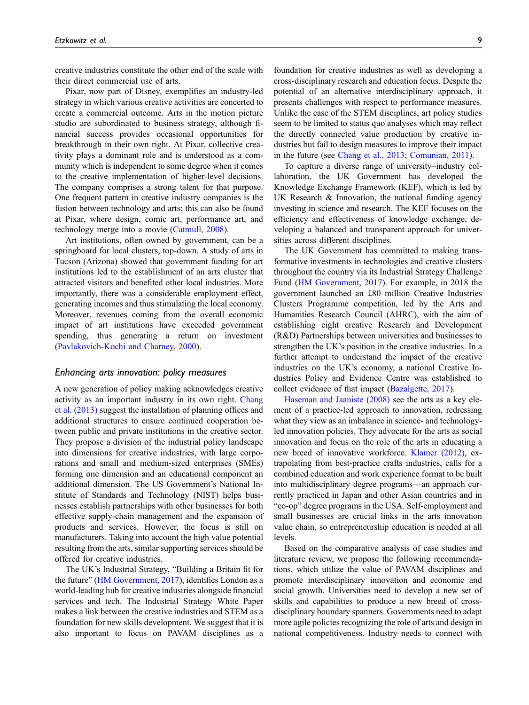creative industries constitute the other end of the scale with their direct commercial use of arts.

Pixar, now part of Disney, exemplifies an industry-led strategy in which various creative activities are concerted to create a commercial outcome. Arts in the motion picture studio are subordinated to business strategy, although financial success provides occasional opportunities for breakthrough in their own right. At Pixar, collective creativity plays a dominant role and is understood as a community which is independent to some degree when it comes to the creative implementation of higher-level decisions. The company comprises a strong talent for that purpose. One frequent pattern in creative industry companies is the fusion between technology and arts; this can also be found at Pixar, where design, comic art, performance art, and technology merge into a movie ([Catmull, 2008](#page-11-13)).

Art institutions, often owned by government, can be a springboard for local clusters, top-down. A study of arts in Tucson (Arizona) showed that government funding for art institutions led to the establishment of an arts cluster that attracted visitors and benefited other local industries. More importantly, there was a considerable employment effect, generating incomes and thus stimulating the local economy. Moreover, revenues coming from the overall economic impact of art institutions have exceeded government spending, thus generating a return on investment [\(Pavlakovich-Kochi and Charney, 2000](#page-12-16)).

#### Enhancing arts innovation: policy measures

A new generation of policy making acknowledges creative activity as an important industry in its own right. [Chang](#page-11-14) [et al. \(2013\)](#page-11-14) suggest the installation of planning offices and additional structures to ensure continued cooperation between public and private institutions in the creative sector. They propose a division of the industrial policy landscape into dimensions for creative industries, with large corporations and small and medium-sized enterprises (SMEs) forming one dimension and an educational component an additional dimension. The US Government's National Institute of Standards and Technology (NIST) helps businesses establish partnerships with other businesses for both effective supply-chain management and the expansion of products and services. However, the focus is still on manufacturers. Taking into account the high value potential resulting from the arts, similar supporting services should be offered for creative industries.

The UK's Industrial Strategy, "Building a Britain fit for the future" [\(HM Government, 2017\)](#page-12-17), identifies London as a world-leading hub for creative industries alongside financial services and tech. The Industrial Strategy White Paper makes a link between the creative industries and STEM as a foundation for new skills development. We suggest that it is also important to focus on PAVAM disciplines as a

foundation for creative industries as well as developing a cross-disciplinary research and education focus. Despite the potential of an alternative interdisciplinary approach, it presents challenges with respect to performance measures. Unlike the case of the STEM disciplines, art policy studies seem to be limited to status quo analyses which may reflect the directly connected value production by creative industries but fail to design measures to improve their impact in the future (see [Chang et al., 2013;](#page-11-14) [Comunian, 2011\)](#page-11-15).

To capture a diverse range of university–industry collaboration, the UK Government has developed the Knowledge Exchange Framework (KEF), which is led by UK Research & Innovation, the national funding agency investing in science and research. The KEF focuses on the efficiency and effectiveness of knowledge exchange, developing a balanced and transparent approach for universities across different disciplines.

The UK Government has committed to making transformative investments in technologies and creative clusters throughout the country via its Industrial Strategy Challenge Fund ([HM Government, 2017](#page-12-17)). For example, in 2018 the government launched an £80 million Creative Industries Clusters Programme competition, led by the Arts and Humanities Research Council (AHRC), with the aim of establishing eight creative Research and Development (R&D) Partnerships between universities and businesses to strengthen the UK's position in the creative industries. In a further attempt to understand the impact of the creative industries on the UK's economy, a national Creative Industries Policy and Evidence Centre was established to collect evidence of that impact [\(Bazalgette, 2017\)](#page-10-8).

[Haseman and Jaaniste \(2008\)](#page-12-18) see the arts as a key element of a practice-led approach to innovation, redressing what they view as an imbalance in science- and technologyled innovation policies. They advocate for the arts as social innovation and focus on the role of the arts in educating a new breed of innovative workforce. [Klamer \(2012\)](#page-12-19), extrapolating from best-practice crafts industries, calls for a combined education and work experience format to be built into multidisciplinary degree programs—an approach currently practiced in Japan and other Asian countries and in "co-op" degree programs in the USA. Self-employment and small businesses are crucial links in the arts innovation value chain, so entrepreneurship education is needed at all levels.

Based on the comparative analysis of case studies and literature review, we propose the following recommendations, which utilize the value of PAVAM disciplines and promote interdisciplinary innovation and economic and social growth. Universities need to develop a new set of skills and capabilities to produce a new breed of crossdisciplinary boundary spanners. Governments need to adapt more agile policies recognizing the role of arts and design in national competitiveness. Industry needs to connect with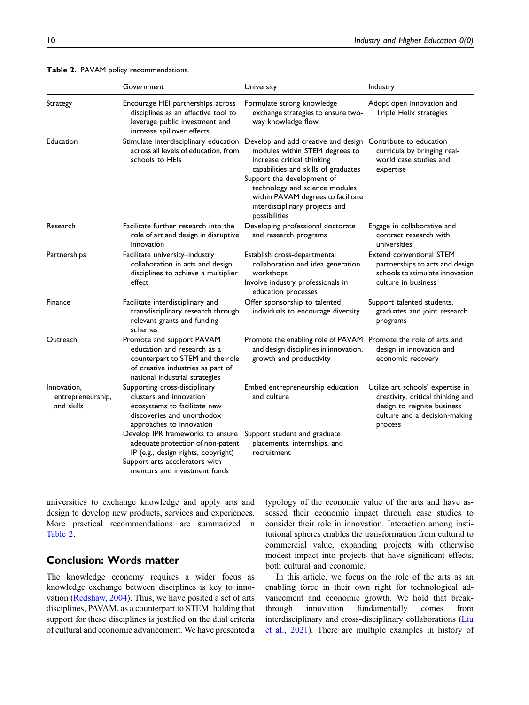|                                                | Government                                                                                                                                                                     | University                                                                                                                                                                                                                                                                                           | Industry                                                                                                                                          |  |
|------------------------------------------------|--------------------------------------------------------------------------------------------------------------------------------------------------------------------------------|------------------------------------------------------------------------------------------------------------------------------------------------------------------------------------------------------------------------------------------------------------------------------------------------------|---------------------------------------------------------------------------------------------------------------------------------------------------|--|
| Strategy                                       | Encourage HEI partnerships across<br>disciplines as an effective tool to<br>leverage public investment and<br>increase spillover effects                                       | Formulate strong knowledge<br>exchange strategies to ensure two-<br>way knowledge flow                                                                                                                                                                                                               | Adopt open innovation and<br>Triple Helix strategies                                                                                              |  |
| Education                                      | Stimulate interdisciplinary education<br>across all levels of education, from<br>schools to HEIs                                                                               | Develop and add creative and design<br>modules within STEM degrees to<br>increase critical thinking<br>capabilities and skills of graduates<br>Support the development of<br>technology and science modules<br>within PAVAM degrees to facilitate<br>interdisciplinary projects and<br>possibilities | Contribute to education<br>curricula by bringing real-<br>world case studies and<br>expertise                                                     |  |
| Research                                       | Facilitate further research into the<br>role of art and design in disruptive<br>innovation                                                                                     | Developing professional doctorate<br>and research programs                                                                                                                                                                                                                                           | Engage in collaborative and<br>contract research with<br>universities                                                                             |  |
| Partnerships                                   | Facilitate university-industry<br>collaboration in arts and design<br>disciplines to achieve a multiplier<br>effect                                                            | Establish cross-departmental<br>collaboration and idea generation<br>workshops<br>Involve industry professionals in<br>education processes                                                                                                                                                           | Extend conventional STEM<br>partnerships to arts and design<br>schools to stimulate innovation<br>culture in business                             |  |
| Finance                                        | Facilitate interdisciplinary and<br>transdisciplinary research through<br>relevant grants and funding<br>schemes                                                               | Offer sponsorship to talented<br>individuals to encourage diversity                                                                                                                                                                                                                                  | Support talented students,<br>graduates and joint research<br>programs                                                                            |  |
| Outreach                                       | Promote and support PAVAM<br>education and research as a<br>counterpart to STEM and the role<br>of creative industries as part of<br>national industrial strategies            | Promote the enabling role of PAVAM Promote the role of arts and<br>and design disciplines in innovation,<br>growth and productivity                                                                                                                                                                  | design in innovation and<br>economic recovery                                                                                                     |  |
| Innovation,<br>entrepreneurship,<br>and skills | Supporting cross-disciplinary<br>clusters and innovation<br>ecosystems to facilitate new<br>discoveries and unorthodox<br>approaches to innovation                             | Embed entrepreneurship education<br>and culture                                                                                                                                                                                                                                                      | Utilize art schools' expertise in<br>creativity, critical thinking and<br>design to reignite business<br>culture and a decision-making<br>process |  |
|                                                | Develop IPR frameworks to ensure<br>adequate protection of non-patent<br>IP (e.g., design rights, copyright)<br>Support arts accelerators with<br>mentors and investment funds | Support student and graduate<br>placements, internships, and<br>recruitment                                                                                                                                                                                                                          |                                                                                                                                                   |  |

<span id="page-9-0"></span>Table 2. PAVAM policy recommendations.

universities to exchange knowledge and apply arts and design to develop new products, services and experiences. More practical recommendations are summarized in [Table 2](#page-9-0).

## Conclusion: Words matter

The knowledge economy requires a wider focus as knowledge exchange between disciplines is key to innovation ([Redshaw, 2004](#page-13-16)). Thus, we have posited a set of arts disciplines, PAVAM, as a counterpart to STEM, holding that support for these disciplines is justified on the dual criteria of cultural and economic advancement. We have presented a typology of the economic value of the arts and have assessed their economic impact through case studies to consider their role in innovation. Interaction among institutional spheres enables the transformation from cultural to commercial value, expanding projects with otherwise modest impact into projects that have significant effects, both cultural and economic.

In this article, we focus on the role of the arts as an enabling force in their own right for technological advancement and economic growth. We hold that breakthrough innovation fundamentally comes from interdisciplinary and cross-disciplinary collaborations ([Liu](#page-12-20) [et al., 2021](#page-12-20)). There are multiple examples in history of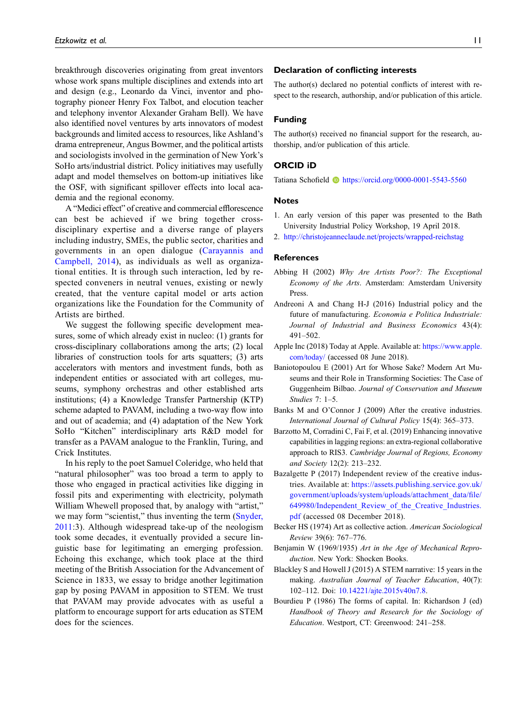breakthrough discoveries originating from great inventors whose work spans multiple disciplines and extends into art and design (e.g., Leonardo da Vinci, inventor and photography pioneer Henry Fox Talbot, and elocution teacher and telephony inventor Alexander Graham Bell). We have also identified novel ventures by arts innovators of modest backgrounds and limited access to resources, like Ashland's drama entrepreneur, Angus Bowmer, and the political artists and sociologists involved in the germination of New York's SoHo arts/industrial district. Policy initiatives may usefully adapt and model themselves on bottom-up initiatives like the OSF, with significant spillover effects into local academia and the regional economy.

A "Medici effect" of creative and commercial efflorescence can best be achieved if we bring together crossdisciplinary expertise and a diverse range of players including industry, SMEs, the public sector, charities and governments in an open dialogue ([Carayannis and](#page-11-16) [Campbell, 2014\)](#page-11-16), as individuals as well as organizational entities. It is through such interaction, led by respected conveners in neutral venues, existing or newly created, that the venture capital model or arts action organizations like the Foundation for the Community of Artists are birthed.

We suggest the following specific development measures, some of which already exist in nucleo: (1) grants for cross-disciplinary collaborations among the arts; (2) local libraries of construction tools for arts squatters; (3) arts accelerators with mentors and investment funds, both as independent entities or associated with art colleges, museums, symphony orchestras and other established arts institutions; (4) a Knowledge Transfer Partnership (KTP) scheme adapted to PAVAM, including a two-way flow into and out of academia; and (4) adaptation of the New York SoHo "Kitchen" interdisciplinary arts R&D model for transfer as a PAVAM analogue to the Franklin, Turing, and Crick Institutes.

In his reply to the poet Samuel Coleridge, who held that "natural philosopher" was too broad a term to apply to those who engaged in practical activities like digging in fossil pits and experimenting with electricity, polymath William Whewell proposed that, by analogy with "artist," we may form "scientist," thus inventing the term ([Snyder,](#page-13-17) [2011:](#page-13-17)3). Although widespread take-up of the neologism took some decades, it eventually provided a secure linguistic base for legitimating an emerging profession. Echoing this exchange, which took place at the third meeting of the British Association for the Advancement of Science in 1833, we essay to bridge another legitimation gap by posing PAVAM in apposition to STEM. We trust that PAVAM may provide advocates with as useful a platform to encourage support for arts education as STEM does for the sciences.

#### Declaration of conflicting interests

The author(s) declared no potential conflicts of interest with respect to the research, authorship, and/or publication of this article.

#### Funding

The author(s) received no financial support for the research, authorship, and/or publication of this article.

#### ORCID iD

Tatiana Schofield <https://orcid.org/0000-0001-5543-5560>

#### Notes

- <span id="page-10-0"></span>1. An early version of this paper was presented to the Bath University Industrial Policy Workshop, 19 April 2018.
- <span id="page-10-7"></span>2. <http://christojeanneclaude.net/projects/wrapped-reichstag>

#### References

- <span id="page-10-3"></span>Abbing H (2002) Why Are Artists Poor?: The Exceptional Economy of the Arts. Amsterdam: Amsterdam University Press.
- Andreoni A and Chang H-J (2016) Industrial policy and the future of manufacturing. Economia e Politica Industriale: Journal of Industrial and Business Economics 43(4): 491–502.
- Apple Inc (2018) Today at Apple. Available at: [https://www.apple.](https://www.apple.com/today/) [com/today/](https://www.apple.com/today/) (accessed 08 June 2018).
- <span id="page-10-6"></span>Baniotopoulou E (2001) Art for Whose Sake? Modern Art Museums and their Role in Transforming Societies: The Case of Guggenheim Bilbao. Journal of Conservation and Museum Studies 7: 1–5.
- <span id="page-10-2"></span>Banks M and O'Connor J (2009) After the creative industries. International Journal of Cultural Policy 15(4): 365–373.
- Barzotto M, Corradini C, Fai F, et al. (2019) Enhancing innovative capabilities in lagging regions: an extra-regional collaborative approach to RIS3. Cambridge Journal of Regions, Economy and Society 12(2): 213–232.
- <span id="page-10-8"></span>Bazalgette P (2017) Independent review of the creative industries. Available at: [https://assets.publishing.service.gov.uk/](https://assets.publishing.service.gov.uk/government/uploads/system/uploads/attachment_data/file/649980/Independent_Review_of_the_Creative_Industries.pdf) [government/uploads/system/uploads/attachment\\_data/](https://assets.publishing.service.gov.uk/government/uploads/system/uploads/attachment_data/file/649980/Independent_Review_of_the_Creative_Industries.pdf)file/ [649980/Independent\\_Review\\_of\\_the\\_Creative\\_Industries.](https://assets.publishing.service.gov.uk/government/uploads/system/uploads/attachment_data/file/649980/Independent_Review_of_the_Creative_Industries.pdf) [pdf](https://assets.publishing.service.gov.uk/government/uploads/system/uploads/attachment_data/file/649980/Independent_Review_of_the_Creative_Industries.pdf) (accessed 08 December 2018).
- Becker HS (1974) Art as collective action. American Sociological Review 39(6): 767–776.
- <span id="page-10-5"></span>Benjamin W (1969/1935) Art in the Age of Mechanical Reproduction. New York: Shocken Books.
- <span id="page-10-4"></span>Blackley S and Howell J (2015) A STEM narrative: 15 years in the making. Australian Journal of Teacher Education, 40(7): 102–112. Doi: [10.14221/ajte.2015v40n7.8](https://doi.org/10.14221/ajte.2015v40n7.8).
- <span id="page-10-1"></span>Bourdieu P (1986) The forms of capital. In: Richardson J (ed) Handbook of Theory and Research for the Sociology of Education. Westport, CT: Greenwood: 241–258.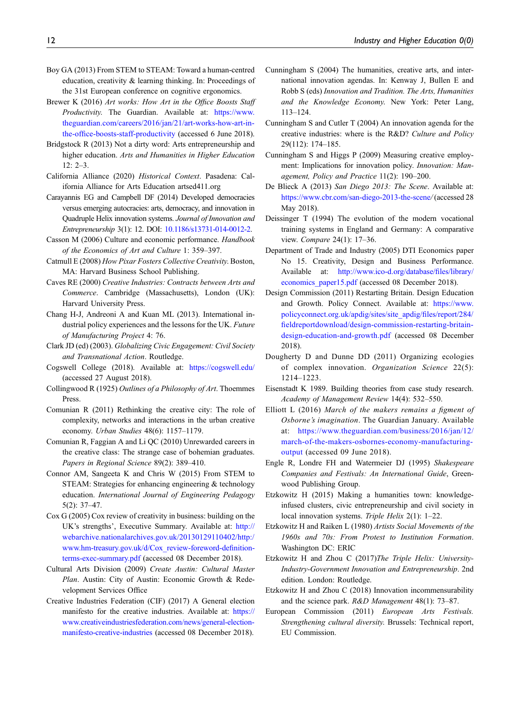- Boy GA (2013) From STEM to STEAM: Toward a human-centred education, creativity & learning thinking. In: Proceedings of the 31st European conference on cognitive ergonomics.
- Brewer K (2016) Art works: How Art in the Office Boosts Staff Productivity. The Guardian. Available at: [https://www.](https://www.theguardian.com/careers/2016/jan/21/art-works-how-art-in-the-office-boosts-staff-productivity) [theguardian.com/careers/2016/jan/21/art-works-how-art-in](https://www.theguardian.com/careers/2016/jan/21/art-works-how-art-in-the-office-boosts-staff-productivity)the-offi[ce-boosts-staff-productivity](https://www.theguardian.com/careers/2016/jan/21/art-works-how-art-in-the-office-boosts-staff-productivity) (accessed 6 June 2018).
- Bridgstock R (2013) Not a dirty word: Arts entrepreneurship and higher education. Arts and Humanities in Higher Education 12: 2–3.
- <span id="page-11-8"></span>California Alliance (2020) Historical Context. Pasadena: California Alliance for Arts Education artsed411.org
- <span id="page-11-16"></span>Carayannis EG and Campbell DF (2014) Developed democracies versus emerging autocracies: arts, democracy, and innovation in Quadruple Helix innovation systems. Journal of Innovation and Entrepreneurship 3(1): 12. DOI: [10.1186/s13731-014-0012-2](https://doi.org/10.1186/s13731-014-0012-2).
- <span id="page-11-3"></span>Casson M (2006) Culture and economic performance. Handbook of the Economics of Art and Culture 1: 359–397.
- <span id="page-11-13"></span>Catmull E (2008) How Pixar Fosters Collective Creativity. Boston, MA: Harvard Business School Publishing.
- Caves RE (2000) Creative Industries: Contracts between Arts and Commerce. Cambridge (Massachusetts), London (UK): Harvard University Press.
- <span id="page-11-14"></span>Chang H-J, Andreoni A and Kuan ML (2013). International industrial policy experiences and the lessons for the UK. Future of Manufacturing Project 4: 76.
- Clark JD (ed) (2003). Globalizing Civic Engagement: Civil Society and Transnational Action. Routledge.
- Cogswell College (2018). Available at: <https://cogswell.edu/> (accessed 27 August 2018).
- <span id="page-11-1"></span>Collingwood R (1925) Outlines of a Philosophy of Art. Thoemmes Press.
- <span id="page-11-15"></span>Comunian R (2011) Rethinking the creative city: The role of complexity, networks and interactions in the urban creative economy. Urban Studies 48(6): 1157–1179.
- Comunian R, Faggian A and Li QC (2010) Unrewarded careers in the creative class: The strange case of bohemian graduates. Papers in Regional Science 89(2): 389–410.
- Connor AM, Sangeeta K and Chris W (2015) From STEM to STEAM: Strategies for enhancing engineering & technology education. International Journal of Engineering Pedagogy 5(2): 37–47.
- <span id="page-11-5"></span>Cox G (2005) Cox review of creativity in business: building on the UK's strengths', Executive Summary. Available at: [http://](http://webarchive.nationalarchives.gov.uk/20130129110402/http:/www.hm-treasury.gov.uk/d/Cox_review-foreword-definition-terms-exec-summary.pdf) [webarchive.nationalarchives.gov.uk/20130129110402/http:/](http://webarchive.nationalarchives.gov.uk/20130129110402/http:/www.hm-treasury.gov.uk/d/Cox_review-foreword-definition-terms-exec-summary.pdf) [www.hm-treasury.gov.uk/d/Cox\\_review-foreword-de](http://webarchive.nationalarchives.gov.uk/20130129110402/http:/www.hm-treasury.gov.uk/d/Cox_review-foreword-definition-terms-exec-summary.pdf)finition[terms-exec-summary.pdf](http://webarchive.nationalarchives.gov.uk/20130129110402/http:/www.hm-treasury.gov.uk/d/Cox_review-foreword-definition-terms-exec-summary.pdf) (accessed 08 December 2018).
- <span id="page-11-7"></span>Cultural Arts Division (2009) Create Austin: Cultural Master Plan. Austin: City of Austin: Economic Growth & Redevelopment Services Office
- <span id="page-11-4"></span>Creative Industries Federation (CIF) (2017) A General election manifesto for the creative industries. Available at: [https://](https://www.creativeindustriesfederation.com/news/general-election-manifesto-creative-industries) [www.creativeindustriesfederation.com/news/general-election](https://www.creativeindustriesfederation.com/news/general-election-manifesto-creative-industries)[manifesto-creative-industries](https://www.creativeindustriesfederation.com/news/general-election-manifesto-creative-industries) (accessed 08 December 2018).
- Cunningham S (2004) The humanities, creative arts, and international innovation agendas. In: Kenway J, Bullen E and Robb S (eds) Innovation and Tradition. The Arts, Humanities and the Knowledge Economy. New York: Peter Lang, 113–124.
- Cunningham S and Cutler T (2004) An innovation agenda for the creative industries: where is the R&D? Culture and Policy 29(112): 174–185.
- Cunningham S and Higgs P (2009) Measuring creative employment: Implications for innovation policy. Innovation: Management, Policy and Practice 11(2): 190–200.
- De Blieck A (2013) San Diego 2013: The Scene. Available at: <https://www.cbr.com/san-diego-2013-the-scene>/ (accessed 28 May 2018).
- Deissinger T (1994) The evolution of the modern vocational training systems in England and Germany: A comparative view. Compare 24(1): 17–36.
- <span id="page-11-6"></span>Department of Trade and Industry (2005) DTI Economics paper No 15. Creativity, Design and Business Performance. Available at: [http://www.ico-d.org/database/](http://www.ico-d.org/database/files/library/economics_paper15.pdf)files/library/ [economics\\_paper15.pdf](http://www.ico-d.org/database/files/library/economics_paper15.pdf) (accessed 08 December 2018).
- Design Commission (2011) Restarting Britain. Design Education and Growth. Policy Connect. Available at: [https://www.](https://www.policyconnect.org.uk/apdig/sites/site_apdig/files/report/284/fieldreportdownload/design-commission-restarting-britain-design-education-and-growth.pdf) [policyconnect.org.uk/apdig/sites/site\\_apdig/](https://www.policyconnect.org.uk/apdig/sites/site_apdig/files/report/284/fieldreportdownload/design-commission-restarting-britain-design-education-and-growth.pdf)files/report/284/ fi[eldreportdownload/design-commission-restarting-britain](https://www.policyconnect.org.uk/apdig/sites/site_apdig/files/report/284/fieldreportdownload/design-commission-restarting-britain-design-education-and-growth.pdf)[design-education-and-growth.pdf](https://www.policyconnect.org.uk/apdig/sites/site_apdig/files/report/284/fieldreportdownload/design-commission-restarting-britain-design-education-and-growth.pdf) (accessed 08 December 2018).
- Dougherty D and Dunne DD (2011) Organizing ecologies of complex innovation. Organization Science 22(5): 1214–1223.
- Eisenstadt K 1989. Building theories from case study research. Academy of Management Review 14(4): 532–550.
- Elliott L (2016) March of the makers remains a figment of Osborne's imagination. The Guardian January. Available at: [https://www.theguardian.com/business/2016/jan/12/](https://www.theguardian.com/business/2016/jan/12/march-of-the-makers-osbornes-economy-manufacturing-output) [march-of-the-makers-osbornes-economy-manufacturing](https://www.theguardian.com/business/2016/jan/12/march-of-the-makers-osbornes-economy-manufacturing-output)[output](https://www.theguardian.com/business/2016/jan/12/march-of-the-makers-osbornes-economy-manufacturing-output) (accessed 09 June 2018).
- <span id="page-11-9"></span>Engle R, Londre FH and Watermeier DJ (1995) Shakespeare Companies and Festivals: An International Guide, Greenwood Publishing Group.
- <span id="page-11-12"></span>Etzkowitz H (2015) Making a humanities town: knowledgeinfused clusters, civic entrepreneurship and civil society in local innovation systems. Triple Helix 2(1): 1–22.
- <span id="page-11-11"></span>Etzkowitz H and Raiken L (1980) Artists Social Movements of the 1960s and 70s: From Protest to Institution Formation. Washington DC: ERIC
- <span id="page-11-0"></span>Etzkowitz H and Zhou C (2017)The Triple Helix: University-Industry-Government Innovation and Entrepreneurship. 2nd edition. London: Routledge.
- <span id="page-11-2"></span>Etzkowitz H and Zhou C (2018) Innovation incommensurability and the science park. R&D Management 48(1): 73–87.
- <span id="page-11-10"></span>European Commission (2011) European Arts Festivals. Strengthening cultural diversity. Brussels: Technical report, EU Commission.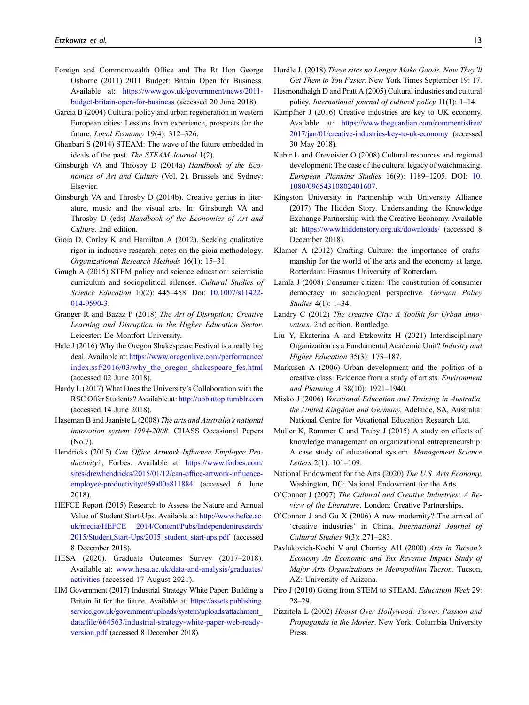- Foreign and Commonwealth Office and The Rt Hon George Osborne (2011) 2011 Budget: Britain Open for Business. Available at: [https://www.gov.uk/government/news/2011](https://www.gov.uk/government/news/2011-budget-britain-open-for-business) [budget-britain-open-for-business](https://www.gov.uk/government/news/2011-budget-britain-open-for-business) (accessed 20 June 2018).
- <span id="page-12-4"></span>Garcia B (2004) Cultural policy and urban regeneration in western European cities: Lessons from experience, prospects for the future. Local Economy 19(4): 312–326.
- Ghanbari S (2014) STEAM: The wave of the future embedded in ideals of the past. The STEAM Journal 1(2).
- Ginsburgh VA and Throsby D (2014a) Handbook of the Economics of Art and Culture (Vol. 2). Brussels and Sydney: Elsevier.
- Ginsburgh VA and Throsby D (2014b). Creative genius in literature, music and the visual arts. In: Ginsburgh VA and Throsby D (eds) Handbook of the Economics of Art and Culture. 2nd edition.
- Gioia D, Corley K and Hamilton A (2012). Seeking qualitative rigor in inductive research: notes on the gioia methodology. Organizational Research Methods 16(1): 15–31.
- <span id="page-12-8"></span>Gough A (2015) STEM policy and science education: scientistic curriculum and sociopolitical silences. Cultural Studies of Science Education 10(2): 445–458. Doi: [10.1007/s11422-](https://doi.org/10.1007/s11422-014-9590-3) [014-9590-3](https://doi.org/10.1007/s11422-014-9590-3).
- Granger R and Bazaz P (2018) The Art of Disruption: Creative Learning and Disruption in the Higher Education Sector. Leicester: De Montfort University.
- <span id="page-12-10"></span>Hale J (2016) Why the Oregon Shakespeare Festival is a really big deal. Available at: [https://www.oregonlive.com/performance/](https://www.oregonlive.com/performance/index.ssf/2016/03/why_the_oregon_shakespeare_fes.html) [index.ssf/2016/03/why\\_the\\_oregon\\_shakespeare\\_fes.html](https://www.oregonlive.com/performance/index.ssf/2016/03/why_the_oregon_shakespeare_fes.html) (accessed 02 June 2018).
- Hardy L (2017) What Does the University's Collaboration with the RSC Offer Students? Available at: <http://uobattop.tumblr.com> (accessed 14 June 2018).
- <span id="page-12-18"></span>Haseman B and Jaaniste L (2008) The arts and Australia's national innovation system 1994-2008. CHASS Occasional Papers (No.7).
- Hendricks (2015) Can Office Artwork Influence Employee Productivity?, Forbes. Available at: [https://www.forbes.com/](https://www.forbes.com/sites/drewhendricks/2015/01/12/can-office-artwork-influence-employee-productivity/#69a00a811884) [sites/drewhendricks/2015/01/12/can-of](https://www.forbes.com/sites/drewhendricks/2015/01/12/can-office-artwork-influence-employee-productivity/#69a00a811884)fice-artwork-influence[employee-productivity/#69a00a811884](https://www.forbes.com/sites/drewhendricks/2015/01/12/can-office-artwork-influence-employee-productivity/#69a00a811884) (accessed 6 June 2018).
- <span id="page-12-11"></span>HEFCE Report (2015) Research to Assess the Nature and Annual Value of Student Start-Ups. Available at: [http://www.hefce.ac.](http://www.hefce.ac.uk/media/HEFCE%202014/Content/Pubs/Independentresearch/2015/Student,Start-Ups/2015_student_start-ups.pdf) [uk/media/HEFCE 2014/Content/Pubs/Independentresearch/](http://www.hefce.ac.uk/media/HEFCE%202014/Content/Pubs/Independentresearch/2015/Student,Start-Ups/2015_student_start-ups.pdf) [2015/Student,Start-Ups/2015\\_student\\_start-ups.pdf](http://www.hefce.ac.uk/media/HEFCE%202014/Content/Pubs/Independentresearch/2015/Student,Start-Ups/2015_student_start-ups.pdf) (accessed 8 December 2018).
- <span id="page-12-14"></span>HESA (2020). Graduate Outcomes Survey (2017–2018). Available at: [www.hesa.ac.uk/data-and-analysis/graduates/](http://www.hesa.ac.uk/data-and-analysis/graduates/activities) [activities](http://www.hesa.ac.uk/data-and-analysis/graduates/activities) (accessed 17 August 2021).
- <span id="page-12-17"></span>HM Government (2017) Industrial Strategy White Paper: Building a Britain fit for the future. Available at: [https://assets.publishing.](https://assets.publishing.service.gov.uk/government/uploads/system/uploads/attachment_data/file/664563/industrial-strategy-white-paper-web-ready-version.pdf) [service.gov.uk/government/uploads/system/uploads/attachment\\_](https://assets.publishing.service.gov.uk/government/uploads/system/uploads/attachment_data/file/664563/industrial-strategy-white-paper-web-ready-version.pdf) data/fi[le/664563/industrial-strategy-white-paper-web-ready](https://assets.publishing.service.gov.uk/government/uploads/system/uploads/attachment_data/file/664563/industrial-strategy-white-paper-web-ready-version.pdf)[version.pdf](https://assets.publishing.service.gov.uk/government/uploads/system/uploads/attachment_data/file/664563/industrial-strategy-white-paper-web-ready-version.pdf) (accessed 8 December 2018).
- Hurdle J. (2018) These sites no Longer Make Goods. Now They'll Get Them to You Faster. New York Times September 19: 17.
- <span id="page-12-1"></span>Hesmondhalgh D and Pratt A (2005) Cultural industries and cultural policy. International journal of cultural policy 11(1): 1–14.
- <span id="page-12-7"></span>Kampfner J (2016) Creative industries are key to UK economy. Available at: [https://www.theguardian.com/commentisfree/](https://www.theguardian.com/commentisfree/2017/jan/01/creative-industries-key-to-uk-economy) [2017/jan/01/creative-industries-key-to-uk-economy](https://www.theguardian.com/commentisfree/2017/jan/01/creative-industries-key-to-uk-economy) (accessed 30 May 2018).
- <span id="page-12-5"></span>Kebir L and Crevoisier O (2008) Cultural resources and regional development: The case of the cultural legacy of watchmaking. European Planning Studies 16(9): 1189–1205. DOI: [10.](https://doi.org/10.1080/09654310802401607) [1080/09654310802401607.](https://doi.org/10.1080/09654310802401607)
- <span id="page-12-15"></span>Kingston University in Partnership with University Alliance (2017) The Hidden Story. Understanding the Knowledge Exchange Partnership with the Creative Economy. Available at: <https://www.hiddenstory.org.uk/downloads/> (accessed 8 December 2018).
- <span id="page-12-19"></span>Klamer A (2012) Crafting Culture: the importance of craftsmanship for the world of the arts and the economy at large. Rotterdam: Erasmus University of Rotterdam.
- Lamla J (2008) Consumer citizen: The constitution of consumer democracy in sociological perspective. German Policy Studies 4(1): 1–34.
- <span id="page-12-12"></span>Landry C (2012) The creative City: A Toolkit for Urban Innovators. 2nd edition. Routledge.
- <span id="page-12-20"></span>Liu Y, Ekaterina A and Etzkowitz H (2021) Interdisciplinary Organization as a Fundamental Academic Unit? Industry and Higher Education 35(3): 173–187.
- <span id="page-12-13"></span>Markusen A (2006) Urban development and the politics of a creative class: Evidence from a study of artists. Environment and Planning A 38(10): 1921–1940.
- Misko J (2006) Vocational Education and Training in Australia, the United Kingdom and Germany. Adelaide, SA, Australia: National Centre for Vocational Education Research Ltd.
- Muller K, Rammer C and Truby J (2015) A study on effects of knowledge management on organizational entrepreneurship: A case study of educational system. Management Science Letters 2(1): 101–109.
- <span id="page-12-6"></span>National Endowment for the Arts (2020) The U.S. Arts Economy. Washington, DC: National Endowment for the Arts.
- <span id="page-12-3"></span>O'Connor J (2007) The Cultural and Creative Industries: A Review of the Literature. London: Creative Partnerships.
- <span id="page-12-2"></span>O'Connor J and Gu X (2006) A new modernity? The arrival of 'creative industries' in China. International Journal of Cultural Studies 9(3): 271–283.
- <span id="page-12-16"></span>Pavlakovich-Kochi V and Charney AH (2000) Arts in Tucson's Economy An Economic and Tax Revenue Impact Study of Major Arts Organizations in Metropolitan Tucson. Tucson, AZ: University of Arizona.
- <span id="page-12-9"></span>Piro J (2010) Going from STEM to STEAM. Education Week 29: 28–29.
- <span id="page-12-0"></span>Pizzitola L (2002) Hearst Over Hollywood: Power, Passion and Propaganda in the Movies. New York: Columbia University Press.